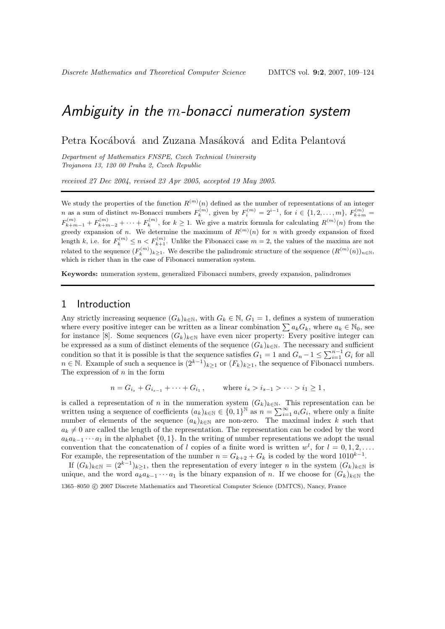# Ambiguity in the  $m$ -bonacci numeration system

Petra Kocábová and Zuzana Masáková and Edita Pelantová

Department of Mathematics FNSPE, Czech Technical University Trojanova 13, 120 00 Praha 2, Czech Republic

received 27 Dec 2004, revised 23 Apr 2005, accepted 19 May 2005.

We study the properties of the function  $R^{(m)}(n)$  defined as the number of representations of an integer n as a sum of distinct m-Bonacci numbers  $F_k^{(m)}$ , given by  $F_i^{(m)} = 2^{i-1}$ , for  $i \in \{1, 2, ..., m\}$ ,  $F_{k+m}^{(m)} =$  $F_{k+m-1}^{(m)} + F_{k+m-2}^{(m)} + \cdots + F_k^{(m)}$ , for  $k \ge 1$ . We give a matrix formula for calculating  $R^{(m)}(n)$  from the greedy expansion of n. We determine the maximum of  $R^{(m)}(n)$  for n with greedy expansion of fixed length k, i.e. for  $F_k^{(m)} \leq n < F_{k+1}^{(m)}$ . Unlike the Fibonacci case  $m = 2$ , the values of the maxima are not related to the sequence  $(F_k^{(m)})_{k\geq 1}$ . We describe the palindromic structure of the sequence  $(R^{(m)}(n))_{n\in\mathbb{N}}$ , which is richer than in the case of Fibonacci numeration system.

Keywords: numeration system, generalized Fibonacci numbers, greedy expansion, palindromes

#### 1 Introduction

Any strictly increasing sequence  $(G_k)_{k\in\mathbb{N}}$ , with  $G_k \in \mathbb{N}$ ,  $G_1 = 1$ , defines a system of numeration where every positive integer can be written as a linear combination  $\sum a_k G_k$ , where  $a_k \in \mathbb{N}_0$ , see for instance [8]. Some sequences  $(G_k)_{k\in\mathbb{N}}$  have even nicer property: Every positive integer can be expressed as a sum of distinct elements of the sequence  $(G_k)_{k\in\mathbb{N}}$ . The necessary and sufficient condition so that it is possible is that the sequence satisfies  $G_1 = 1$  and  $G_n - 1 \leq \sum_{i=1}^{n-1} G_i$  for all  $n \in \mathbb{N}$ . Example of such a sequence is  $(2^{k-1})_{k\geq 1}$  or  $(F_k)_{k\geq 1}$ , the sequence of Fibonacci numbers. The expression of  $n$  in the form

$$
n = G_{i_s} + G_{i_{s-1}} + \cdots + G_{i_1}
$$
, where  $i_s > i_{s-1} > \cdots > i_1 \ge 1$ ,

is called a representation of n in the numeration system  $(G_k)_{k\in\mathbb{N}}$ . This representation can be written using a sequence of coefficients  $(a_k)_{k\in\mathbb{N}} \in \{0,1\}^{\mathbb{N}}$  as  $n = \sum_{i=1}^{\infty} a_i G_i$ , where only a finite number of elements of the sequence  $(a_k)_{k\in\mathbb{N}}$  are non-zero. The maximal index k such that  $a_k \neq 0$  are called the length of the representation. The representation can be coded by the word  $a_k a_{k-1} \cdots a_1$  in the alphabet  $\{0, 1\}$ . In the writing of number representations we adopt the usual convention that the concatenation of l copies of a finite word is written  $w^l$ , for  $l = 0, 1, 2, \ldots$ For example, the representation of the number  $n = G_{k+2} + G_k$  is coded by the word  $1010^{k-1}$ .

If  $(G_k)_{k\in\mathbb{N}} = (2^{k-1})_{k\geq 1}$ , then the representation of every integer n in the system  $(G_k)_{k\in\mathbb{N}}$  is unique, and the word  $a_k a_{k-1} \cdots a_1$  is the binary expansion of n. If we choose for  $(G_k)_{k \in \mathbb{N}}$  the 1365–8050 c 2007 Discrete Mathematics and Theoretical Computer Science (DMTCS), Nancy, France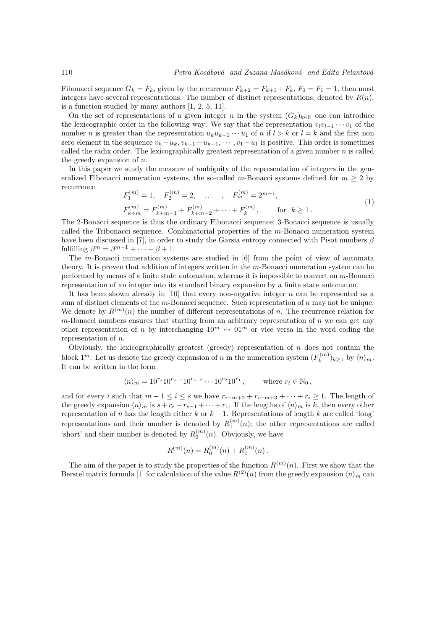Fibonacci sequence  $G_k = F_k$ , given by the recurrence  $F_{k+2} = F_{k+1} + F_k$ ,  $F_0 = F_1 = 1$ , then most integers have several representations. The number of distinct representations, denoted by  $R(n)$ , is a function studied by many authors [1, 2, 5, 11].

On the set of representations of a given integer n in the system  $(G_k)_{k\in\mathbb{N}}$  one can introduce the lexicographic order in the following way: We say that the representation  $v_l v_{l-1} \cdots v_1$  of the number *n* is greater than the representation  $u_k u_{k-1} \cdots u_1$  of *n* if  $l > k$  or  $l = k$  and the first non zero element in the sequence  $v_k - u_k, v_{k-1} - u_{k-1}, \dots, v_1 - u_1$  is positive. This order is sometimes called the radix order. The lexicographically greatest representation of a given number  $n$  is called the greedy expansion of n.

In this paper we study the measure of ambiguity of the representation of integers in the generalized Fibonacci numeration systems, the so-called m-Bonacci systems defined for  $m > 2$  by recurrence

$$
F_1^{(m)} = 1, \quad F_2^{(m)} = 2, \quad \dots \quad, \quad F_m^{(m)} = 2^{m-1},
$$
  
\n
$$
F_{k+m}^{(m)} = F_{k+m-1}^{(m)} + F_{k+m-2}^{(m)} + \dots + F_k^{(m)}, \quad \text{for } k \ge 1.
$$
\n(1)

The 2-Bonacci sequence is thus the ordinary Fibonacci sequence; 3-Bonacci sequence is usually called the Tribonacci sequence. Combinatorial properties of the  $m$ -Bonacci numeration system have been discussed in [7], in order to study the Garsia entropy connected with Pisot numbers  $\beta$ fulfilling  $\beta^m = \beta^{m-1} + \cdots + \beta + 1$ .

The m-Bonacci numeration systems are studied in [6] from the point of view of automata theory. It is proven that addition of integers written in the m-Bonacci numeration system can be performed by means of a finite state automaton, whereas it is impossible to convert an m-Bonacci representation of an integer into its standard binary expansion by a finite state automaton.

It has been shown already in [10] that every non-negative integer n can be represented as a sum of distinct elements of the  $m$ -Bonacci sequence. Such representation of  $n$  may not be unique. We denote by  $R^{(m)}(n)$  the number of different representations of n. The recurrence relation for  $m$ -Bonacci numbers ensures that starting from an arbitrary representation of  $n$  we can get any other representation of n by interchanging  $10^m \leftrightarrow 01^m$  or vice versa in the word coding the representation of n.

Obviously, the lexicographically greatest (greedy) representation of  $n$  does not contain the block 1<sup>m</sup>. Let us denote the greedy expansion of n in the numeration system  $(F_k^{(m)})_{k\geq 1}$  by  $\langle n \rangle_m$ . It can be written in the form

$$
\langle n \rangle_m = 10^{r_s} 10^{r_{s-1}} 10^{r_{s-2}} \cdots 10^{r_2} 10^{r_1}
$$
, where  $r_i \in \mathbb{N}_0$ ,

and for every i such that  $m-1 \leq i \leq s$  we have  $r_{i-m+2} + r_{i-m+3} + \cdots + r_i \geq 1$ . The length of the greedy expansion  $\langle n \rangle_m$  is  $s+r_s + r_{s-1} + \cdots + r_1$ . If the lengths of  $\langle n \rangle_m$  is k, then every other representation of n has the length either k or  $k-1$ . Representations of length k are called 'long' representations and their number is denoted by  $R_1^{(m)}(n)$ ; the other representations are called 'short' and their number is denoted by  $R_0^{(m)}(n)$ . Obviously, we have

$$
R^{(m)}(n) = R_0^{(m)}(n) + R_1^{(m)}(n).
$$

The aim of the paper is to study the properties of the function  $R^{(m)}(n)$ . First we show that the Berstel matrix formula [1] for calculation of the value  $R^{(2)}(n)$  from the greedy expansion  $\langle n \rangle_m$  can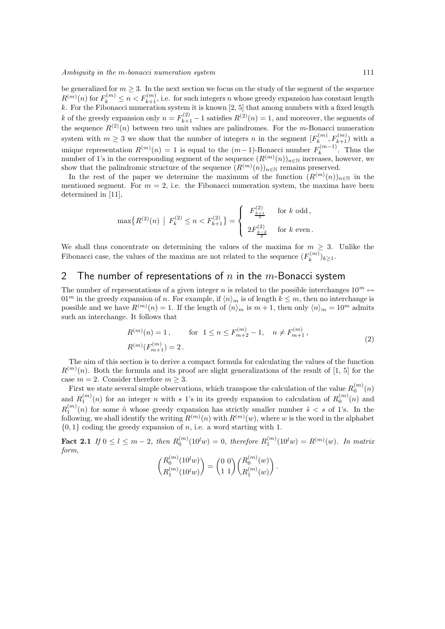be generalized for  $m \geq 3$ . In the next section we focus on the study of the segment of the sequence  $R^{(m)}(n)$  for  $F_k^{(m)} \leq n < F_{k+1}^{(m)}$ , i.e. for such integers n whose greedy expansion has constant length k. For the Fibonacci numeration system it is known [2, 5] that among numbers with a fixed length k of the greedy expansion only  $n = F_{k+1}^{(2)} - 1$  satisfies  $R^{(2)}(n) = 1$ , and moreover, the segments of the sequence  $R^{(2)}(n)$  between two unit values are palindromes. For the m-Bonacci numeration system with  $m \geq 3$  we show that the number of integers n in the segment  $[F_k^{(m)}, F_{k+1}^{(m)}]$  with a unique representation  $R^{(m)}(n) = 1$  is equal to the  $(m-1)$ -Bonacci number  $F_k^{(m-1)}$ . Thus the number of 1's in the corresponding segment of the sequence  $(R^{(m)}(n))_{n\in\mathbb{N}}$  increases, however, we show that the palindromic structure of the sequence  $(R^{(m)}(n))_{n\in\mathbb{N}}$  remains preserved.

In the rest of the paper we determine the maximum of the function  $(R^{(m)}(n))_{n\in\mathbb{N}}$  in the mentioned segment. For  $m = 2$ , i.e. the Fibonacci numeration system, the maxima have been determined in [11],

$$
\max\{R^{(2)}(n) \mid F_k^{(2)} \le n < F_{k+1}^{(2)}\} = \begin{cases} F_{\frac{k+1}{2}}^{(2)} & \text{for } k \text{ odd,} \\ 2F_{\frac{k-2}{2}}^{(2)} & \text{for } k \text{ even.} \end{cases}
$$

We shall thus concentrate on determining the values of the maxima for  $m \geq 3$ . Unlike the Fibonacci case, the values of the maxima are not related to the sequence  $(F_k^{(m)})_{k \geq 1}$ .

### 2 The number of representations of  $n$  in the  $m$ -Bonacci system

The number of representations of a given integer n is related to the possible interchanges  $10^m \leftrightarrow$  $01^m$  in the greedy expansion of n. For example, if  $\langle n \rangle_m$  is of length  $k \leq m$ , then no interchange is possible and we have  $R^{(m)}(n) = 1$ . If the length of  $\langle n \rangle_m$  is  $m + 1$ , then only  $\langle n \rangle_m = 10^m$  admits such an interchange. It follows that

$$
R^{(m)}(n) = 1, \quad \text{for } 1 \le n \le F_{m+2}^{(m)} - 1, \quad n \ne F_{m+1}^{(m)},
$$
  

$$
R^{(m)}(F_{m+1}^{(m)}) = 2.
$$
 (2)

The aim of this section is to derive a compact formula for calculating the values of the function  $R^{(m)}(n)$ . Both the formula and its proof are slight generalizations of the result of [1, 5] for the case  $m = 2$ . Consider therefore  $m \geq 3$ .

First we state several simple observations, which transpose the calculation of the value  $R_0^{(m)}(n)$ and  $R_1^{(m)}(n)$  for an integer n with s 1's in its greedy expansion to calculation of  $R_0^{(m)}(n)$  and  $R_1^{(m)}(n)$  for some  $\tilde{n}$  whose greedy expansion has strictly smaller number  $\tilde{s} < s$  of 1's. In the following, we shall identify the writing  $R^{(m)}(n)$  with  $R^{(m)}(w)$ , where w is the word in the alphabet  $\{0, 1\}$  coding the greedy expansion of n, i.e. a word starting with 1.

**Fact 2.1** If  $0 \le l \le m-2$ , then  $R_0^{(m)}(10^l w) = 0$ , therefore  $R_1^{(m)}(10^l w) = R^{(m)}(w)$ . In matrix form,

$$
\binom{R_0^{(m)}(10^l w)}{R_1^{(m)}(10^l w)} = \binom{0\ 0}{1\ 1}\binom{R_0^{(m)}(w)}{R_1^{(m)}(w)}.
$$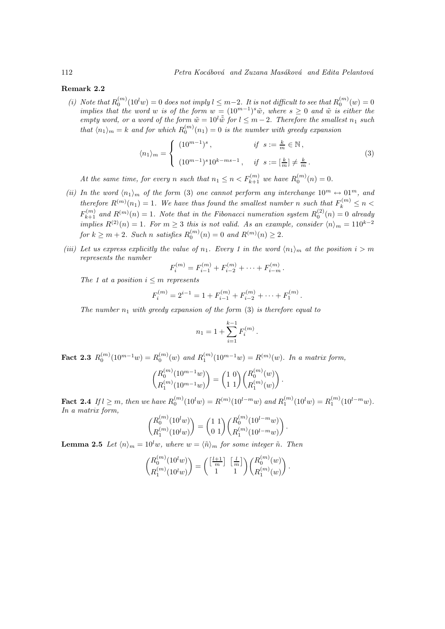#### Remark 2.2

(i) Note that  $R_0^{(m)}(10^l w) = 0$  does not imply  $l \leq m-2$ . It is not difficult to see that  $R_0^{(m)}(w) = 0$ implies that the word w is of the form  $w = (10^{m-1})^s \tilde{w}$ , where  $s \geq 0$  and  $\tilde{w}$  is either the empty word, or a word of the form  $\tilde{w} = 10^{l} \tilde{\tilde{w}}$  for  $l \leq m-2$ . Therefore the smallest  $n_1$  such that  $\langle n_1 \rangle_m = k$  and for which  $R_0^{(m)}(n_1) = 0$  is the number with greedy expansion

$$
\langle n_1 \rangle_m = \begin{cases} (10^{m-1})^s, & \text{if } s := \frac{k}{m} \in \mathbb{N}, \\ (10^{m-1})^s 10^{k - ms - 1}, & \text{if } s := [\frac{k}{m}] \neq \frac{k}{m}. \end{cases}
$$
(3)

At the same time, for every n such that  $n_1 \le n < F_{k+1}^{(m)}$  we have  $R_0^{(m)}(n) = 0$ .

- (ii) In the word  $\langle n_1 \rangle_m$  of the form (3) one cannot perform any interchange  $10^m \leftrightarrow 01^m$ , and therefore  $R^{(m)}(n_1) = 1$ . We have thus found the smallest number n such that  $F_k^{(m)} \leq n <$  $F_{k+1}^{(m)}$  and  $R^{(m)}(n) = 1$ . Note that in the Fibonacci numeration system  $R_0^{(2)}(n) = 0$  already implies  $R^{(2)}(n) = 1$ . For  $m \geq 3$  this is not valid. As an example, consider  $\langle n \rangle_m = 110^{k-2}$ for  $k \ge m+2$ . Such n satisfies  $R_0^{(m)}(n) = 0$  and  $R^{(m)}(n) \ge 2$ .
- (iii) Let us express explicitly the value of  $n_1$ . Every 1 in the word  $\langle n_1 \rangle_m$  at the position  $i > m$ represents the number

$$
F_i^{(m)} = F_{i-1}^{(m)} + F_{i-2}^{(m)} + \cdots + F_{i-m}^{(m)}.
$$

The 1 at a position  $i \leq m$  represents

$$
F_i^{(m)} = 2^{i-1} = 1 + F_{i-1}^{(m)} + F_{i-2}^{(m)} + \cdots + F_1^{(m)}.
$$

The number  $n_1$  with greedy expansion of the form (3) is therefore equal to

$$
n_1 = 1 + \sum_{i=1}^{k-1} F_i^{(m)}
$$

.

Fact 2.3  $R_0^{(m)}(10^{m-1}w) = R_0^{(m)}(w)$  and  $R_1^{(m)}(10^{m-1}w) = R^{(m)}(w)$ . In a matrix form,

$$
\binom{R_0^{(m)}(10^{m-1}w)}{R_1^{(m)}(10^{m-1}w)} = \binom{1\ 0}{1\ 1} \binom{R_0^{(m)}(w)}{R_1^{(m)}(w)}.
$$

**Fact 2.4** If  $l \ge m$ , then we have  $R_0^{(m)}(10^l w) = R^{(m)}(10^{l-m} w)$  and  $R_1^{(m)}(10^l w) = R_1^{(m)}(10^{l-m} w)$ . In a matrix form,

$$
\binom{R_0^{(m)}(10^l w)}{R_1^{(m)}(10^l w)} = \binom{1 \ 1}{0 \ 1} \binom{R_0^{(m)}(10^{l-m} w)}{R_1^{(m)}(10^{l-m} w)}.
$$

**Lemma 2.5** Let  $\langle n \rangle_m = 10^l w$ , where  $w = \langle \tilde{n} \rangle_m$  for some integer  $\tilde{n}$ . Then

$$
\binom{R_0^{(m)}(10^lw)}{R_1^{(m)}(10^l w)} = \binom{\left[\frac{l+1}{m}\right]\;\left[\frac{l}{m}\right]}{1}\binom{R_0^{(m)}(w)}{R_1^{(m)}(w)}.
$$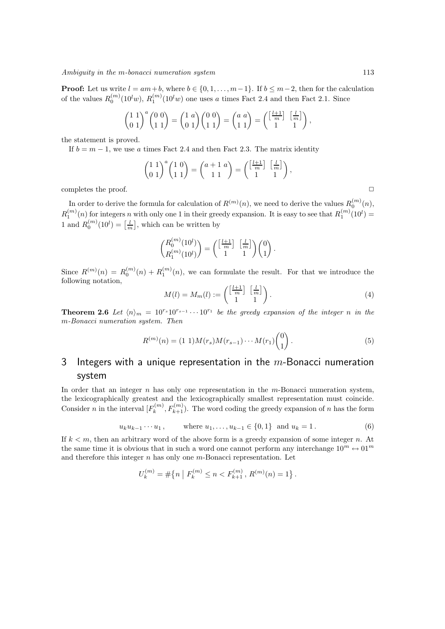**Proof:** Let us write  $l = am+b$ , where  $b \in \{0, 1, ..., m-1\}$ . If  $b \leq m-2$ , then for the calculation of the values  $R_0^{(m)}(10^l w)$ ,  $R_1^{(m)}(10^l w)$  one uses a times Fact 2.4 and then Fact 2.1. Since

$$
\begin{pmatrix} 1 & 1 \ 0 & 1 \end{pmatrix}^a \begin{pmatrix} 0 & 0 \ 1 & 1 \end{pmatrix} = \begin{pmatrix} 1 & a \ 0 & 1 \end{pmatrix} \begin{pmatrix} 0 & 0 \ 1 & 1 \end{pmatrix} = \begin{pmatrix} a & a \ 1 & 1 \end{pmatrix} = \begin{pmatrix} \frac{1+1}{m} & \frac{1}{m} \\ 1 & 1 \end{pmatrix},
$$

the statement is proved.

If  $b = m - 1$ , we use a times Fact 2.4 and then Fact 2.3. The matrix identity

$$
\begin{pmatrix} 1 & 1 \ 0 & 1 \end{pmatrix}^a \begin{pmatrix} 1 & 0 \ 1 & 1 \end{pmatrix} = \begin{pmatrix} a+1 & a \ 1 & 1 \end{pmatrix} = \begin{pmatrix} \begin{bmatrix} \frac{l+1}{m} \end{bmatrix} & \begin{bmatrix} \frac{l}{m} \end{bmatrix} \\ 1 & 1 \end{pmatrix},
$$

completes the proof.  $\Box$ 

In order to derive the formula for calculation of  $R^{(m)}(n)$ , we need to derive the values  $R_0^{(m)}(n)$ ,  $R_1^{(m)}(n)$  for integers n with only one 1 in their greedy expansion. It is easy to see that  $R_1^{(m)}(10^l)$  = 1 and  $R_0^{(m)}(10^l) = \left[\frac{l}{m}\right]$ , which can be written by

$$
\binom{R_0^{(m)}(10^l)}{R_1^{(m)}(10^l)} = \binom{\left[\frac{l+1}{m}\right]\;\left[\frac{l}{m}\right]}{1}\binom{0}{1} \,.
$$

Since  $R^{(m)}(n) = R_0^{(m)}(n) + R_1^{(m)}(n)$ , we can formulate the result. For that we introduce the following notation,

$$
M(l) = M_m(l) := \begin{pmatrix} \left[\frac{l+1}{m}\right] & \left[\frac{l}{m}\right] \\ 1 & 1 \end{pmatrix}.
$$
 (4)

**Theorem 2.6** Let  $\langle n \rangle_m = 10^{rs} 10^{rs-1} \cdots 10^{r_1}$  be the greedy expansion of the integer n in the m-Bonacci numeration system. Then

$$
R^{(m)}(n) = (1\ 1)M(r_s)M(r_{s-1})\cdots M(r_1)\binom{0}{1}.
$$
\n(5)

### 3 Integers with a unique representation in the  $m$ -Bonacci numeration system

In order that an integer  $n$  has only one representation in the  $m$ -Bonacci numeration system, the lexicographically greatest and the lexicographically smallest representation must coincide. Consider n in the interval  $[F_k^{(m)}, F_{k+1}^{(m)}]$ . The word coding the greedy expansion of n has the form

$$
u_k u_{k-1} \cdots u_1
$$
, where  $u_1, \ldots, u_{k-1} \in \{0, 1\}$  and  $u_k = 1$ . (6)

If  $k < m$ , then an arbitrary word of the above form is a greedy expansion of some integer n. At the same time it is obvious that in such a word one cannot perform any interchange  $10^m \leftrightarrow 01^m$ and therefore this integer  $n$  has only one  $m$ -Bonacci representation. Let

$$
U_k^{(m)} = \# \{ n \mid F_k^{(m)} \le n < F_{k+1}^{(m)}, R^{(m)}(n) = 1 \}.
$$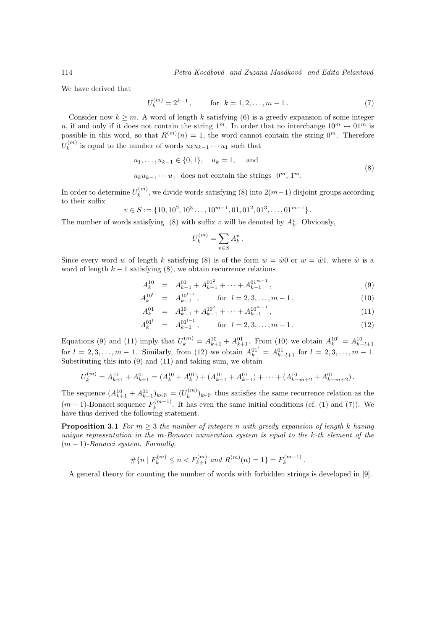We have derived that

$$
U_k^{(m)} = 2^{k-1}, \qquad \text{for } k = 1, 2, \dots, m-1.
$$
 (7)

Consider now  $k \geq m$ . A word of length k satisfying (6) is a greedy expansion of some integer n, if and only if it does not contain the string  $1^m$ . In order that no interchange  $10^m \leftrightarrow 01^m$  is possible in this word, so that  $R^{(m)}(n) = 1$ , the word cannot contain the string  $0^m$ . Therefore  $U_k^{(m)}$  is equal to the number of words  $u_k u_{k-1} \cdots u_1$  such that

$$
u_1, \dots, u_{k-1} \in \{0, 1\}, \quad u_k = 1, \quad \text{and} \tag{8}
$$

 $u_k u_{k-1} \cdots u_1$  does not contain the strings  $0^m$ ,  $1^m$ .

In order to determine  $U_k^{(m)}$ , we divide words satisfying (8) into  $2(m-1)$  disjoint groups according to their suffix

$$
v \in S := \{10, 10^2, 10^3 \dots, 10^{m-1}, 01, 01^2, 01^3, \dots, 01^{m-1}\}.
$$

The number of words satisfying (8) with suffix v will be denoted by  $A_k^v$ . Obviously,

$$
U_k^{(m)}=\sum_{v\in S}A_k^v\,.
$$

Since every word w of length k satisfying (8) is of the form  $w = \tilde{w}0$  or  $w = \tilde{w}1$ , where  $\tilde{w}$  is a word of length  $k - 1$  satisfying (8), we obtain recurrence relations

$$
A_k^{10} = A_{k-1}^{01} + A_{k-1}^{01^2} + \dots + A_{k-1}^{01^{m-1}}, \tag{9}
$$

$$
A_k^{10^l} = A_{k-1}^{10^{l-1}}, \qquad \text{for } l = 2, 3, \dots, m-1,
$$
 (10)

$$
A_k^{01} = A_{k-1}^{10} + A_{k-1}^{10^2} + \dots + A_{k-1}^{10^{m-1}}, \tag{11}
$$

$$
A_k^{01^l} = A_{k-1}^{01^{l-1}}, \qquad \text{for } l = 2, 3, \dots, m-1.
$$
 (12)

Equations (9) and (11) imply that  $U_k^{(m)} = A_{k+1}^{10} + A_{k+1}^{01}$ . From (10) we obtain  $A_k^{10'} = A_{k-l+1}^{10}$  for  $l = 2, 3, ..., m - 1$ . Similarly, from (12) we obtain  $A_k^{01'} = A_{k-l+1}^{01}$  for  $l = 2, 3, ..., m - 1$ . Substituting this into  $(9)$  and  $(11)$  and taking sum, we obtain

$$
U_k^{(m)} = A_{k+1}^{10} + A_{k+1}^{01} = (A_k^{10} + A_k^{01}) + (A_{k-1}^{10} + A_{k-1}^{01}) + \cdots + (A_{k-m+2}^{10} + A_{k-m+2}^{01}).
$$

The sequence  $(A_{k+1}^{10} + A_{k+1}^{01})_{k \in \mathbb{N}} = (U_k^{(m)})_{k \in \mathbb{N}}$  thus satisfies the same recurrence relation as the  $(m-1)$ -Bonacci sequence  $F_k^{(m-1)}$  $\binom{n(n-1)}{k}$ . It has even the same initial conditions (cf. (1) and (7)). We have thus derived the following statement.

**Proposition 3.1** For  $m \geq 3$  the number of integers n with greedy expansion of length k having unique representation in the m-Bonacci numeration system is equal to the k-th element of the  $(m-1)$ -Bonacci system. Formally,

$$
\# \{ n \mid F_k^{(m)} \le n < F_{k+1}^{(m)} \text{ and } R^{(m)}(n) = 1 \} = F_k^{(m-1)}.
$$

A general theory for counting the number of words with forbidden strings is developed in [9].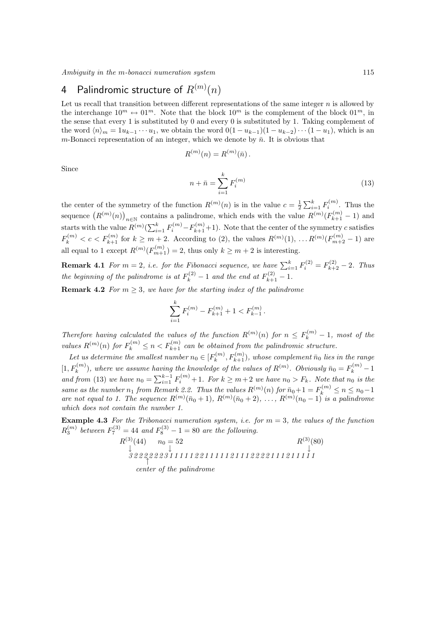Ambiguity in the m-bonacci numeration system 115

## 4 Palindromic structure of  $R^{(m)}(n)$

Let us recall that transition between different representations of the same integer  $n$  is allowed by the interchange  $10^m \leftrightarrow 01^m$ . Note that the block  $10^m$  is the complement of the block  $01^m$ , in the sense that every 1 is substituted by 0 and every 0 is substituted by 1. Taking complement of the word  $\langle n \rangle_m = 1u_{k-1} \cdots u_1$ , we obtain the word  $0(1 - u_{k-1})(1 - u_{k-2}) \cdots (1 - u_1)$ , which is an m-Bonacci representation of an integer, which we denote by  $\bar{n}$ . It is obvious that

$$
R^{(m)}(n) = R^{(m)}(\bar{n}) \, .
$$

Since

$$
n + \bar{n} = \sum_{i=1}^{k} F_i^{(m)}
$$
\n(13)

the center of the symmetry of the function  $R^{(m)}(n)$  is in the value  $c = \frac{1}{2} \sum_{i=1}^{k} F_i^{(m)}$ . Thus the sequence  $(R^{(m)}(n))_{n\in\mathbb{N}}$  contains a palindrome, which ends with the value  $R^{(m)}(F^{(m)}_{k+1}-1)$  and starts with the value  $R^{(m)}(\sum_{i=1}^k F_i^{(m)} - F_{k+1}^{(m)} + 1)$ . Note that the center of the symmetry c satisfies  $F_k^{(m)} < c < F_{k+1}^{(m)}$  for  $k \ge m+2$ . According to (2), the values  $R^{(m)}(1), \ldots R^{(m)}(F_{m+2}^{(m)}-1)$  are all equal to 1 except  $R^{(m)}(F_{m+1}^{(m)}) = 2$ , thus only  $k \ge m+2$  is interesting.

**Remark 4.1** For  $m = 2$ , i.e. for the Fibonacci sequence, we have  $\sum_{i=1}^{k} F_i^{(2)} = F_{k+2}^{(2)} - 2$ . Thus the beginning of the palindrome is at  $F_k^{(2)} - 1$  and the end at  $F_{k+1}^{(2)} - 1$ .

**Remark 4.2** For  $m \geq 3$ , we have for the starting index of the palindrome

$$
\sum_{i=1}^{k} F_i^{(m)} - F_{k+1}^{(m)} + 1 < F_{k-1}^{(m)}.
$$

Therefore having calculated the values of the function  $R^{(m)}(n)$  for  $n \leq F_k^{(m)} - 1$ , most of the values  $R^{(m)}(n)$  for  $F_k^{(m)} \leq n < F_{k+1}^{(m)}$  can be obtained from the palindromic structure.

Let us determine the smallest number  $n_0 \in [F_k^{(m)}, F_{k+1}^{(m)}),$  whose complement  $\bar{n}_0$  lies in the range  $[1, F_k^{(m)}]$  $k^{(m)}$ , where we assume having the knowledge of the values of  $R^{(m)}$ . Obviously  $\bar{n}_0 = F_k^{(m)} - 1$ and from (13) we have  $n_0 = \sum_{i=1}^{k-1} F_i^{(m)} + 1$ . For  $k \ge m+2$  we have  $n_0 > F_k$ . Note that  $n_0$  is the same as the number  $n_1$  from Remark 2.2. Thus the values  $R^{(m)}(n)$  for  $\bar{n}_0+1 = F_k^{(m)} \le n \le n_0-1$ are not equal to 1. The sequence  $R^{(m)}(\bar{n}_0+1)$ ,  $R^{(m)}(\bar{n}_0+2)$ , ...,  $R^{(m)}(n_0-1)$  is a palindrome which does not contain the number 1.

**Example 4.3** For the Tribonacci numeration system, i.e. for  $m = 3$ , the values of the function  $R_3^{(m)}$  between  $F_7^{(3)} = 44$  and  $F_8^{(3)} - 1 = 80$  are the following.

$$
R^{(3)}(44) \t n_0 = 52
$$
  
\n
$$
\downarrow^3 2222223111112211112111222211121111
$$
  
\ncenter of the palindrome  
\n
$$
R^{(3)}(80)
$$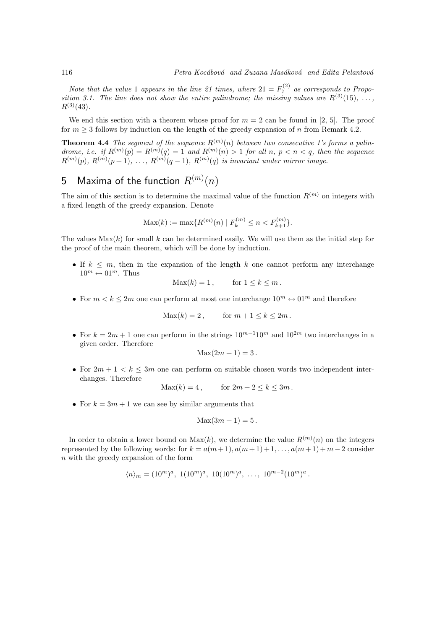Note that the value 1 appears in the line 21 times, where  $21 = F_7^{(2)}$  as corresponds to Proposition 3.1. The line does not show the entire palindrome; the missing values are  $R^{(3)}(15), \ldots$  $R^{(3)}(43)$ .

We end this section with a theorem whose proof for  $m = 2$  can be found in [2, 5]. The proof for  $m \geq 3$  follows by induction on the length of the greedy expansion of n from Remark 4.2.

**Theorem 4.4** The segment of the sequence  $R^{(m)}(n)$  between two consecutive 1's forms a palindrome, i.e. if  $R^{(m)}(p) = R^{(m)}(q) = 1$  and  $R^{(m)}(n) > 1$  for all n,  $p < n < q$ , then the sequence  $R^{(m)}(p), R^{(m)}(p+1), \ldots, R^{(m)}(q-1), R^{(m)}(q)$  is invariant under mirror image.

## $5$   $\,$  Maxima of the function  $R^{(m)}(n)$

The aim of this section is to determine the maximal value of the function  $R^{(m)}$  on integers with a fixed length of the greedy expansion. Denote

$$
\text{Max}(k) := \max\{R^{(m)}(n) \mid F_k^{(m)} \le n < F_{k+1}^{(m)}\}.
$$

The values  $\text{Max}(k)$  for small k can be determined easily. We will use them as the initial step for the proof of the main theorem, which will be done by induction.

• If  $k \leq m$ , then in the expansion of the length k one cannot perform any interchange  $10^m \leftrightarrow 01^m$ . Thus

$$
Max(k) = 1, \qquad \text{for } 1 \le k \le m.
$$

• For  $m < k < 2m$  one can perform at most one interchange  $10^m \leftrightarrow 01^m$  and therefore

$$
Max(k) = 2, \qquad \text{for } m + 1 \le k \le 2m.
$$

• For  $k = 2m + 1$  one can perform in the strings  $10^{m-1}10^m$  and  $10^{2m}$  two interchanges in a given order. Therefore

$$
Max(2m+1) = 3.
$$

• For  $2m + 1 < k \leq 3m$  one can perform on suitable chosen words two independent interchanges. Therefore

$$
Max(k) = 4, \qquad \text{for } 2m + 2 \le k \le 3m.
$$

• For  $k = 3m + 1$  we can see by similar arguments that

$$
Max(3m+1) = 5.
$$

In order to obtain a lower bound on  $Max(k)$ , we determine the value  $R^{(m)}(n)$  on the integers represented by the following words: for  $k = a(m+1), a(m+1)+1, \ldots, a(m+1)+m-2$  consider n with the greedy expansion of the form

$$
\langle n \rangle_m = (10^m)^a
$$
,  $1(10^m)^a$ ,  $10(10^m)^a$ , ...,  $10^{m-2}(10^m)^a$ .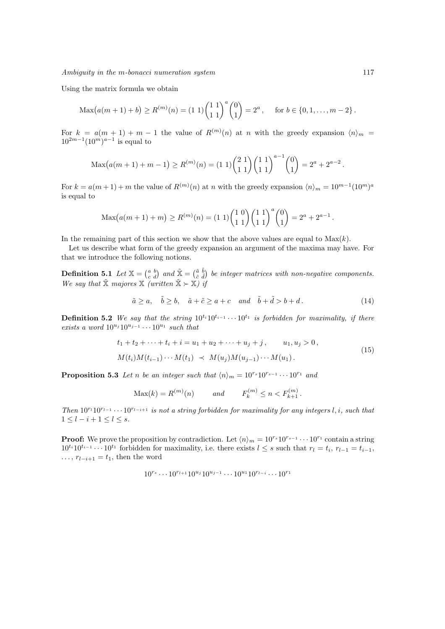Using the matrix formula we obtain

$$
\operatorname{Max}(a(m+1)+b) \ge R^{(m)}(n) = (1\ 1)\binom{1\ 1}{1\ 1}^a \binom{0}{1} = 2^a, \quad \text{for } b \in \{0, 1, \dots, m-2\}.
$$

For  $k = a(m + 1) + m - 1$  the value of  $R^{(m)}(n)$  at n with the greedy expansion  $\langle n \rangle_m =$  $10^{2m-1}(10^m)^{a-1}$  is equal to

$$
\operatorname{Max}(a(m+1)+m-1) \ge R^{(m)}(n) = (1\ 1)\binom{2\ 1}{1\ 1}\binom{1\ 1}{1\ 1}^{a-1}\binom{0}{1} = 2^a + 2^{a-2}.
$$

For  $k = a(m+1) + m$  the value of  $R^{(m)}(n)$  at n with the greedy expansion  $\langle n \rangle_m = 10^{m-1} (10^m)^a$ is equal to

$$
\operatorname{Max}(a(m+1)+m) \ge R^{(m)}(n) = (1\ 1)\binom{1\ 0}{1\ 1}\binom{1\ 1}{1\ 1}^a\binom{0}{1} = 2^a + 2^{a-1}.
$$

In the remaining part of this section we show that the above values are equal to  $\text{Max}(k)$ .

Let us describe what form of the greedy expansion an argument of the maxima may have. For that we introduce the following notions.

**Definition 5.1** Let  $\mathbb{X} = \begin{pmatrix} a & b \\ c & d \end{pmatrix}$  and  $\tilde{\mathbb{X}} = \begin{pmatrix} \tilde{a} & \tilde{b} \\ \tilde{c} & \tilde{d} \end{pmatrix}$  be integer matrices with non-negative components. We say that  $\tilde{\mathbb{X}}$  majores  $\mathbb{X}$  (written  $\tilde{\mathbb{X}} \succ \mathbb{X}$ ) if

$$
\tilde{a} \ge a, \quad \tilde{b} \ge b, \quad \tilde{a} + \tilde{c} \ge a + c \quad and \quad \tilde{b} + \tilde{d} > b + d. \tag{14}
$$

**Definition 5.2** We say that the string  $10^{t_i}10^{t_{i-1}} \cdots 10^{t_1}$  is forbidden for maximality, if there exists a word  $10^{u_j} 10^{u_{j-1}} \cdots 10^{u_1}$  such that

$$
t_1 + t_2 + \dots + t_i + i = u_1 + u_2 + \dots + u_j + j, \qquad u_1, u_j > 0,
$$
  

$$
M(t_i)M(t_{i-1})\cdots M(t_1) \prec M(u_j)M(u_{j-1})\cdots M(u_1).
$$
 (15)

**Proposition 5.3** Let n be an integer such that  $\langle n \rangle_m = 10^{r_s} 10^{r_{s-1}} \cdots 10^{r_1}$  and

$$
Max(k) = R^{(m)}(n) \qquad and \qquad F_k^{(m)} \le n < F_{k+1}^{(m)}.
$$

Then  $10^{r_1}10^{r_{l-1}}\cdots10^{r_{l-i+1}}$  is not a string forbidden for maximality for any integers l, i, such that  $1 \leq l - i + 1 \leq l \leq s.$ 

**Proof:** We prove the proposition by contradiction. Let  $\langle n \rangle_m = 10^{r_s} 10^{r_{s-1}} \cdots 10^{r_1}$  contain a string  $10^{t_i}10^{t_{i-1}}\cdots 10^{t_1}$  forbidden for maximality, i.e. there exists  $l \leq s$  such that  $r_l = t_i$ ,  $r_{l-1} = t_{i-1}$ ,  $\ldots$ ,  $r_{l-i+1} = t_1$ , then the word

$$
10^{r_s}\cdots10^{r_{l+1}}10^{u_j}10^{u_{j-1}}\cdots10^{u_1}10^{r_{l-i}}\cdots10^{r_1}
$$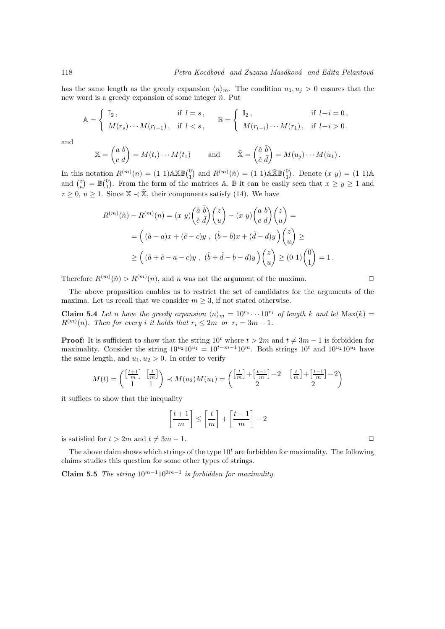has the same length as the greedy expansion  $\langle n \rangle_m$ . The condition  $u_1, u_j > 0$  ensures that the new word is a greedy expansion of some integer  $\tilde{n}$ . Put

$$
\mathbb{A} = \begin{cases} \mathbb{I}_2, & \text{if } l = s, \\ M(r_s) \cdots M(r_{l+1}), & \text{if } l < s, \end{cases} \quad \mathbb{B} = \begin{cases} \mathbb{I}_2, & \text{if } l - i = 0, \\ M(r_{l-i}) \cdots M(r_1), & \text{if } l - i > 0. \end{cases}
$$

and

$$
\mathbb{X} = \begin{pmatrix} a & b \\ c & d \end{pmatrix} = M(t_i) \cdots M(t_1) \quad \text{and} \quad \tilde{\mathbb{X}} = \begin{pmatrix} \tilde{a} & \tilde{b} \\ \tilde{c} & \tilde{d} \end{pmatrix} = M(u_j) \cdots M(u_1).
$$

In this notation  $R^{(m)}(n) = (1\ 1) \triangle \mathbb{X} \mathbb{B} \begin{pmatrix} 0 \\ 1 \end{pmatrix}$  and  $R^{(m)}(\tilde{n}) = (1\ 1) \triangle \mathbb{X} \mathbb{B} \begin{pmatrix} 0 \\ 1 \end{pmatrix}$ . Denote  $(x, y) = (1\ 1) \triangle$ and  $\binom{z}{u} = \mathbb{B}\binom{0}{1}$ . From the form of the matrices A, B it can be easily seen that  $x \geq y \geq 1$  and  $z \geq 0, u \geq 1$ . Since  $\mathbb{X} \prec \tilde{\mathbb{X}}$ , their components satisfy (14). We have

$$
R^{(m)}(\tilde{n}) - R^{(m)}(n) = (x \ y) \left(\frac{\tilde{a}}{\tilde{c}} \frac{\tilde{b}}{d}\right) \binom{z}{u} - (x \ y) \binom{a \ b}{c \ d} \binom{z}{u} =
$$
  
= 
$$
\left( (\tilde{a} - a)x + (\tilde{c} - c)y \ , \ (\tilde{b} - b)x + (\tilde{d} - d)y \right) \binom{z}{u} \ge
$$
  

$$
\ge \left( (\tilde{a} + \tilde{c} - a - c)y \ , \ (\tilde{b} + \tilde{d} - b - d)y \right) \binom{z}{u} \ge (0 \ 1) \binom{0}{1} = 1.
$$

Therefore  $R^{(m)}(\tilde{n}) > R^{(m)}(n)$ , and n was not the argument of the maxima.

The above proposition enables us to restrict the set of candidates for the arguments of the maxima. Let us recall that we consider  $m \geq 3$ , if not stated otherwise.

**Claim 5.4** Let n have the greedy expansion  $\langle n \rangle_m = 10^{r_s} \cdots 10^{r_1}$  of length k and let  $\text{Max}(k)$  =  $R^{(m)}(n)$ . Then for every i it holds that  $r_i \leq 2m$  or  $r_i = 3m - 1$ .

**Proof:** It is sufficient to show that the string  $10^t$  where  $t > 2m$  and  $t \neq 3m - 1$  is forbidden for maximality. Consider the string  $10^{u_2} 10^{u_1} = 10^{t-m-1} 10^m$ . Both strings  $10^t$  and  $10^{u_2} 10^{u_1}$  have the same length, and  $u_1, u_2 > 0$ . In order to verify

$$
M(t) = \begin{pmatrix} \left[\frac{t+1}{m}\right] & \left[\frac{t}{m}\right] \\ 1 & 1 \end{pmatrix} \prec M(u_2)M(u_1) = \begin{pmatrix} \left[\frac{t}{m}\right] + \left[\frac{t-1}{m}\right] - 2 & \left[\frac{t}{m}\right] + \left[\frac{t-1}{m}\right] - 2 \\ 2 & 2 \end{pmatrix}
$$

it suffices to show that the inequality

$$
\left[\frac{t+1}{m}\right] \le \left[\frac{t}{m}\right] + \left[\frac{t-1}{m}\right] - 2
$$

is satisfied for  $t > 2m$  and  $t \neq 3m - 1$ .

The above claim shows which strings of the type  $10<sup>t</sup>$  are forbidden for maximality. The following claims studies this question for some other types of strings.

Claim 5.5 The string  $10^{m-1}10^{3m-1}$  is forbidden for maximality.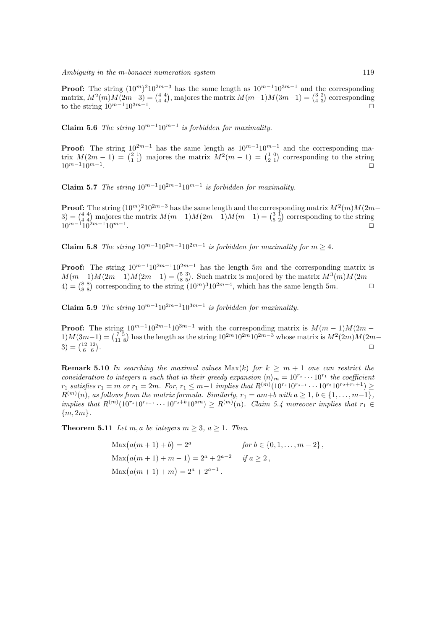**Proof:** The string  $(10^m)^2 10^{2m-3}$  has the same length as  $10^{m-1} 10^{3m-1}$  and the corresponding matrix,  $M^2(m)M(2m-3) = \binom{4}{4}$ , majores the matrix  $M(m-1)M(3m-1) = \binom{3}{4}$  corresponding to the string  $10^{m-1}10^{3m-1}$ .  $\Box$ 

Claim 5.6 The string  $10^{m-1}10^{m-1}$  is forbidden for maximality.

**Proof:** The string  $10^{2m-1}$  has the same length as  $10^{m-1}10^{m-1}$  and the corresponding matrix  $M(2m-1) = \begin{pmatrix} 2 & 1 \\ 1 & 1 \end{pmatrix}$  majores the matrix  $M^2(m-1) = \begin{pmatrix} 1 & 0 \\ 2 & 1 \end{pmatrix}$  corresponding to the string  $10^{m-1}$ .  $\Box$ 

Claim 5.7 The string  $10^{m-1}10^{2m-1}10^{m-1}$  is forbidden for maximality.

**Proof:** The string  $(10^m)^2 10^{2m-3}$  has the same length and the corresponding matrix  $M^2(m)M(2m-1)$ 3) =  $\binom{4}{4}$  majores the matrix  $M(m-1)M(2m-1)M(m-1) = \binom{3}{5}$  corresponding to the string  $10^{m-1}10^{2m-1}10^{m-1}$ .

Claim 5.8 The string  $10^{m-1}10^{2m-1}10^{2m-1}$  is forbidden for maximality for  $m ≥ 4$ .

**Proof:** The string  $10^{m-1}10^{2m-1}10^{2m-1}$  has the length 5m and the corresponding matrix is  $M(m-1)M(2m-1) = \binom{5}{8}$ , Such matrix is majored by the matrix  $M^3(m)M(2m-1)$ 4) =  $\binom{8}{8}$  corresponding to the string  $(10<sup>m</sup>)<sup>3</sup>10<sup>2m-4</sup>$ , which has the same length 5*m*.  $□$ 

Claim 5.9 The string  $10^{m-1}10^{2m-1}10^{3m-1}$  is forbidden for maximality.

**Proof:** The string  $10^{m-1}10^{2m-1}10^{3m-1}$  with the corresponding matrix is  $M(m-1)M(2m-1)$  $1)M(3m-1) = {7 \atop 11}^5$  has the length as the string  $10^{2m}10^{2m-3}$  whose matrix is  $M^2(2m)M(2m-1)$  $3 = \begin{pmatrix} 12 & 12 \\ 6 & 6 \end{pmatrix}$ . The contract of the contract of the contract of the contract of the contract of the contract of the contract of the contract of the contract of the contract of the contract of the contract of the contract of the contrac

**Remark 5.10** In searching the maximal values  $Max(k)$  for  $k \geq m+1$  one can restrict the consideration to integers n such that in their greedy expansion  $\langle n \rangle_m = 10^{r_s} \cdots 10^{r_1}$  the coefficient  $r_1$  satisfies  $r_1 = m$  or  $r_1 = 2m$ . For,  $r_1 \leq m-1$  implies that  $R^{(m)}(10^{r_s}10^{r_{s-1}}\cdots10^{r_3}10^{r_2+r_1+1}) \geq$  $R^{(m)}(n)$ , as follows from the matrix formula. Similarly,  $r_1 = am+b$  with  $a \ge 1$ ,  $b \in \{1, ..., m-1\}$ , implies that  $R^{(m)}(10^{r_s}10^{r_{s-1}}\cdots10^{r_2+b}10^{am})\geq R^{(m)}(n)$ . Claim 5.4 moreover implies that  $r_1 \in$  ${m, 2m}.$ 

**Theorem 5.11** Let m, a be integers  $m \geq 3$ ,  $a \geq 1$ . Then

 $\text{Max}(a(m+1)+b) = 2^a$ for  $b \in \{0, 1, \ldots, m-2\}$ ,  $\text{Max}(a(m+1)+m-1) = 2^a + 2^{a-2} \quad \text{if } a \geq 2,$  $\text{Max}(a(m+1)+m) = 2^a + 2^{a-1}.$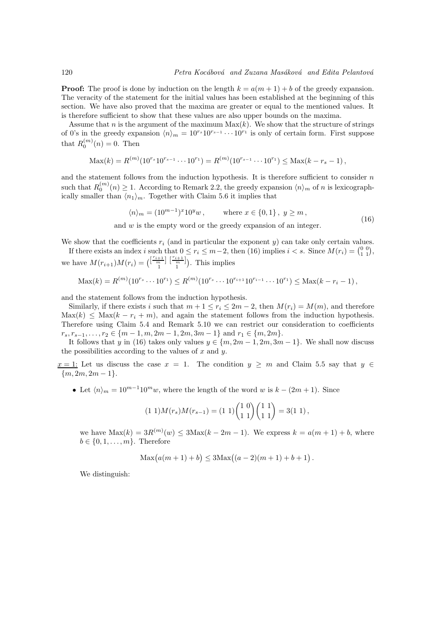**Proof:** The proof is done by induction on the length  $k = a(m + 1) + b$  of the greedy expansion. The veracity of the statement for the initial values has been established at the beginning of this section. We have also proved that the maxima are greater or equal to the mentioned values. It is therefore sufficient to show that these values are also upper bounds on the maxima.

Assume that n is the argument of the maximum  $\text{Max}(k)$ . We show that the structure of strings of 0's in the greedy expansion  $\langle n \rangle_m = 10^{r_s} 10^{r_{s-1}} \cdots 10^{r_1}$  is only of certain form. First suppose that  $R_0^{(m)}(n) = 0$ . Then

$$
\text{Max}(k) = R^{(m)}(10^{r_s}10^{r_{s-1}}\cdots 10^{r_1}) = R^{(m)}(10^{r_{s-1}}\cdots 10^{r_1}) \leq \text{Max}(k-r_s-1),
$$

and the statement follows from the induction hypothesis. It is therefore sufficient to consider  $n$ such that  $R_0^{(m)}(n) \geq 1$ . According to Remark 2.2, the greedy expansion  $\langle n \rangle_m$  of n is lexicographically smaller than  $\langle n_1 \rangle_m$ . Together with Claim 5.6 it implies that

$$
\langle n \rangle_m = (10^{m-1})^x 10^y w, \quad \text{where } x \in \{0, 1\}, y \ge m,
$$
\n(16)

and w is the empty word or the greedy expansion of an integer.

We show that the coefficients  $r_i$  (and in particular the exponent y) can take only certain values.

If there exists an index i such that  $0 \le r_i \le m-2$ , then (16) implies  $i < s$ . Since  $M(r_i) = \begin{pmatrix} 0 & 0 \\ 1 & 1 \end{pmatrix}$ , we have  $M(r_{i+1})M(r_i) = \binom{\left[\frac{r_{i+1}}{n}\right]\left[\frac{r_{i+1}}{n}\right]}{\binom{n}{i}}$ . This implies

$$
\operatorname{Max}(k) = R^{(m)}(10^{r_s} \cdots 10^{r_1}) \leq R^{(m)}(10^{r_s} \cdots 10^{r_{i+1}} 10^{r_{i-1}} \cdots 10^{r_1}) \leq \operatorname{Max}(k - r_i - 1),
$$

and the statement follows from the induction hypothesis.

Similarly, if there exists i such that  $m + 1 \le r_i \le 2m - 2$ , then  $M(r_i) = M(m)$ , and therefore  $\text{Max}(k) \leq \text{Max}(k - r_i + m)$ , and again the statement follows from the induction hypothesis. Therefore using Claim 5.4 and Remark 5.10 we can restrict our consideration to coefficients  $r_s, r_{s-1}, \ldots, r_2 \in \{m-1, m, 2m-1, 2m, 3m-1\}$  and  $r_1 \in \{m, 2m\}.$ 

It follows that y in (16) takes only values  $y \in \{m, 2m - 1, 2m, 3m - 1\}$ . We shall now discuss the possibilities according to the values of  $x$  and  $y$ .

 $x = 1$ : Let us discuss the case  $x = 1$ . The condition  $y \geq m$  and Claim 5.5 say that  $y \in$  ${m, 2m, 2m-1}.$ 

• Let  $\langle n \rangle_m = 10^{m-1} 10^m w$ , where the length of the word w is  $k - (2m + 1)$ . Since

$$
(1\;1)M(r_s)M(r_{s-1}) = (1\;1)\binom{1\;0}{1\;1}\binom{1\;1}{1\;1} = 3(1\;1),
$$

we have  $\text{Max}(k) = 3R^{(m)}(w) \leq 3\text{Max}(k-2m-1)$ . We express  $k = a(m+1) + b$ , where  $b \in \{0, 1, \ldots, m\}$ . Therefore

$$
Max(a(m + 1) + b) \leq 3Max((a - 2)(m + 1) + b + 1).
$$

We distinguish: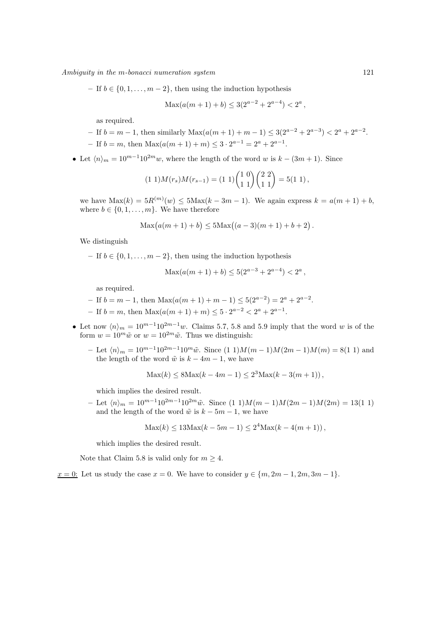Ambiguity in the m-bonacci numeration system 121

– If  $b \in \{0, 1, \ldots, m-2\}$ , then using the induction hypothesis

 $\text{Max}(a(m+1)+b) \leq 3(2^{a-2}+2^{a-4}) < 2^a,$ 

as required.

- If 
$$
b = m - 1
$$
, then similarly  $\text{Max}(a(m + 1) + m - 1) \leq 3(2^{a-2} + 2^{a-3}) < 2^a + 2^{a-2}$ 

- If  $b = m$ , then  $\text{Max}(a(m+1) + m) \leq 3 \cdot 2^{a-1} = 2^a + 2^{a-1}$ .
- Let  $\langle n \rangle_m = 10^{m-1} 10^{2m} w$ , where the length of the word w is  $k (3m + 1)$ . Since

$$
(1\;1)M(r_s)M(r_{s-1}) = (1\;1)\binom{1\;0}{1\;1}\binom{2\;2}{1\;1} = 5(1\;1),
$$

we have  $\text{Max}(k) = 5R^{(m)}(w) \le 5\text{Max}(k - 3m - 1)$ . We again express  $k = a(m + 1) + b$ , where  $b \in \{0, 1, \ldots, m\}$ . We have therefore

$$
Max(a(m + 1) + b) \le 5Max((a - 3)(m + 1) + b + 2).
$$

We distinguish

– If  $b \in \{0, 1, \ldots, m-2\}$ , then using the induction hypothesis

$$
Max(a(m + 1) + b) \le 5(2^{a-3} + 2^{a-4}) < 2^a,
$$

as required.

- If  $b = m 1$ , then Max( $a(m + 1) + m 1$ ) ≤  $5(2<sup>a-2</sup>) = 2<sup>a</sup> + 2<sup>a-2</sup>$ .
- If  $b = m$ , then  $\text{Max}(a(m+1) + m) \leq 5 \cdot 2^{a-2} < 2^a + 2^{a-1}$ .
- Let now  $\langle n \rangle_m = 10^{m-1}10^{2m-1}w$ . Claims 5.7, 5.8 and 5.9 imply that the word w is of the form  $w = 10^m \tilde{w}$  or  $w = 10^{2m} \tilde{w}$ . Thus we distinguish:
	- Let  $\langle n \rangle_m = 10^{m-1} 10^{2m-1} 10^m \tilde{w}$ . Since  $(1\ 1)M(m-1)M(2m-1)M(m) = 8(1\ 1)$  and the length of the word  $\tilde{w}$  is  $k - 4m - 1$ , we have

$$
Max(k) \leq 8Max(k - 4m - 1) \leq 2^3 Max(k - 3(m + 1)),
$$

which implies the desired result.

– Let  $\langle n \rangle_m = 10^{m-1} 10^{2m-1} 10^{2m} \tilde{w}$ . Since  $(1\ 1)M(m-1)M(2m-1)M(2m) = 13(1\ 1)$ and the length of the word  $\tilde{w}$  is  $k - 5m - 1$ , we have

$$
Max(k) \le 13Max(k - 5m - 1) \le 2^4 Max(k - 4(m + 1)),
$$

which implies the desired result.

Note that Claim 5.8 is valid only for  $m > 4$ .

 $x = 0$ : Let us study the case  $x = 0$ . We have to consider  $y \in \{m, 2m - 1, 2m, 3m - 1\}$ .

.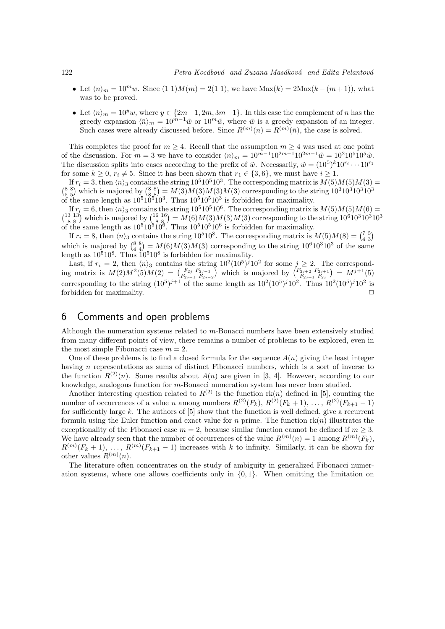- Let  $\langle n \rangle_m = 10^m w$ . Since  $(1\ 1)M(m) = 2(1\ 1)$ , we have  $Max(k) = 2Max(k (m + 1))$ , what was to be proved.
- Let  $\langle n \rangle_m = 10^y w$ , where  $y \in \{2m-1, 2m, 3m-1\}$ . In this case the complement of n has the greedy expansion  $\langle \bar{n} \rangle_m = 10^{m-1}\tilde{w}$  or  $10^m\tilde{w}$ , where  $\tilde{w}$  is a greedy expansion of an integer. Such cases were already discussed before. Since  $R^{(m)}(n) = R^{(m)}(\bar{n})$ , the case is solved.

This completes the proof for  $m \geq 4$ . Recall that the assumption  $m \geq 4$  was used at one point of the discussion. For  $m = 3$  we have to consider  $\langle n \rangle_m = 10^{m-1}10^{2m-1}10^{2m-1}\tilde{w} = 10^210^510^5\tilde{w}$ . The discussion splits into cases according to the prefix of  $\tilde{w}$ . Necessarily,  $\tilde{w} = (10^5)^k 10^{r_i} \cdots 10^{r_1}$ for some  $k \geq 0$ ,  $r_i \neq 5$ . Since it has been shown that  $r_1 \in \{3, 6\}$ , we must have  $i \geq 1$ .

If  $r_i = 3$ , then  $\langle n \rangle_3$  contains the string  $10^5 10^5 10^3$ . The corresponding matrix is  $M(5)M(5)M(3) =$  $\binom{8}{5}$  which is majored by  $\binom{8}{8}$  =  $M(3)M(3)M(3)$  corresponding to the string  $10^3 10^3 10^3$ of the same length as  $10^510^510^3$ . Thus  $10^510^510^3$  is forbidden for maximality.

If  $r_i = 6$ , then  $\langle n \rangle_3$  contains the string  $10^5 10^5 10^6$ . The corresponding matrix is  $M(5)M(5)M(6) =$  $\binom{13\ 13}{8\ 8}$  which is majored by  $\binom{16\ 16}{8\ 8} = M(6)M(3)M(3)$  corresponding to the string  $10^610^310^310^3$ of the same length as  $10^5 10^6$ . Thus  $10^5 10^5 10^6$  is forbidden for maximality.

If  $r_i = 8$ , then  $\langle n \rangle_3$  contains the string 10<sup>5</sup>10<sup>8</sup>. The corresponding matrix is  $M(5)M(8) = \binom{7}{4}$ which is majored by  $\binom{8}{4}$  =  $M(6)M(3)M(3)$  corresponding to the string  $10^6 10^3 10^3$  of the same length as  $10^510^8$ . Thus  $10^510^8$  is forbidden for maximality.

Last, if  $r_i = 2$ , then  $\langle n \rangle$  contains the string  $10^2 (10^5)^j 10^2$  for some  $j \geq 2$ . The corresponding matrix is  $M(2)M^2(5)M(2) = \binom{F_{2j}}{F_{2j-1}} \binom{F_{2j-1}}{F_{2j-2}}$  which is majored by  $\binom{F_{2j+2}}{F_{2j+1}} \binom{F_{2j+2}}{F_{2j+1}} = M^{j+1}(5)$ corresponding to the string  $(10^5)^{j+1}$  of the same length as  $10^2(10^5)^{j}10^2$ . Thus  $10^2(10^5)^{j}10^2$  is forbidden for maximality.

### 6 Comments and open problems

Although the numeration systems related to m-Bonacci numbers have been extensively studied from many different points of view, there remains a number of problems to be explored, even in the most simple Fibonacci case  $m = 2$ .

One of these problems is to find a closed formula for the sequence  $A(n)$  giving the least integer having n representations as sums of distinct Fibonacci numbers, which is a sort of inverse to the function  $R^{(2)}(n)$ . Some results about  $A(n)$  are given in [3, 4]. However, according to our knowledge, analogous function for m-Bonacci numeration system has never been studied.

Another interesting question related to  $R^{(2)}$  is the function rk(n) defined in [5], counting the number of occurrences of a value n among numbers  $R^{(2)}(F_k)$ ,  $R^{(2)}(F_k + 1)$ , ...,  $R^{(2)}(F_{k+1} - 1)$ for sufficiently large  $k$ . The authors of  $[5]$  show that the function is well defined, give a recurrent formula using the Euler function and exact value for n prime. The function  $rk(n)$  illustrates the exceptionality of the Fibonacci case  $m = 2$ , because similar function cannot be defined if  $m \geq 3$ . We have already seen that the number of occurrences of the value  $R^{(m)}(n) = 1$  among  $R^{(m)}(F_k)$ ,  $R^{(m)}(F_k+1), \ldots, R^{(m)}(F_{k+1}-1)$  increases with k to infinity. Similarly, it can be shown for other values  $R^{(m)}(n)$ .

The literature often concentrates on the study of ambiguity in generalized Fibonacci numeration systems, where one allows coefficients only in  $\{0, 1\}$ . When omitting the limitation on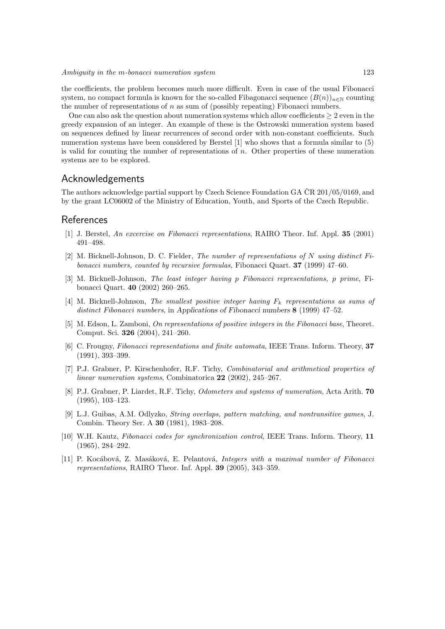the coefficients, the problem becomes much more difficult. Even in case of the usual Fibonacci system, no compact formula is known for the so-called Fibagonacci sequence  $(B(n))_{n\in\mathbb{N}}$  counting the number of representations of  $n$  as sum of (possibly repeating) Fibonacci numbers.

One can also ask the question about numeration systems which allow coefficients  $\geq 2$  even in the greedy expansion of an integer. An example of these is the Ostrowski numeration system based on sequences defined by linear recurrences of second order with non-constant coefficients. Such numeration systems have been considered by Berstel [1] who shows that a formula similar to (5) is valid for counting the number of representations of  $n$ . Other properties of these numeration systems are to be explored.

### Acknowledgements

The authors acknowledge partial support by Czech Science Foundation GA  $\overline{CR}$  201/05/0169, and by the grant LC06002 of the Ministry of Education, Youth, and Sports of the Czech Republic.

#### References

- [1] J. Berstel, An excercise on Fibonacci representations, RAIRO Theor. Inf. Appl. 35 (2001) 491–498.
- [2] M. Bicknell-Johnson, D. C. Fielder, The number of representations of N using distinct Fibonacci numbers, counted by recursive formulas, Fibonacci Quart. 37 (1999) 47–60.
- [3] M. Bicknell-Johnson, The least integer having p Fibonacci representations, p prime, Fibonacci Quart. 40 (2002) 260–265.
- [4] M. Bicknell-Johnson, The smallest positive integer having  $F_k$  representations as sums of distinct Fibonacci numbers, in Applications of Fibonacci numbers 8 (1999) 47–52.
- [5] M. Edson, L. Zamboni, On representations of positive integers in the Fibonacci base, Theoret. Comput. Sci. 326 (2004), 241–260.
- [6] C. Frougny, Fibonacci representations and finite automata, IEEE Trans. Inform. Theory, 37 (1991), 393–399.
- [7] P.J. Grabner, P. Kirschenhofer, R.F. Tichy, Combinatorial and arithmetical properties of linear numeration systems, Combinatorica 22 (2002), 245–267.
- [8] P.J. Grabner, P. Liardet, R.F. Tichy, *Odometers and systems of numeration*, Acta Arith. **70** (1995), 103–123.
- [9] L.J. Guibas, A.M. Odlyzko, String overlaps, pattern matching, and nontransitive games, J. Combin. Theory Ser. A 30 (1981), 1983–208.
- [10] W.H. Kautz, Fibonacci codes for synchronization control, IEEE Trans. Inform. Theory, 11 (1965), 284–292.
- [11] P. Kocábová, Z. Masáková, E. Pelantová, Integers with a maximal number of Fibonacci representations, RAIRO Theor. Inf. Appl. 39 (2005), 343–359.